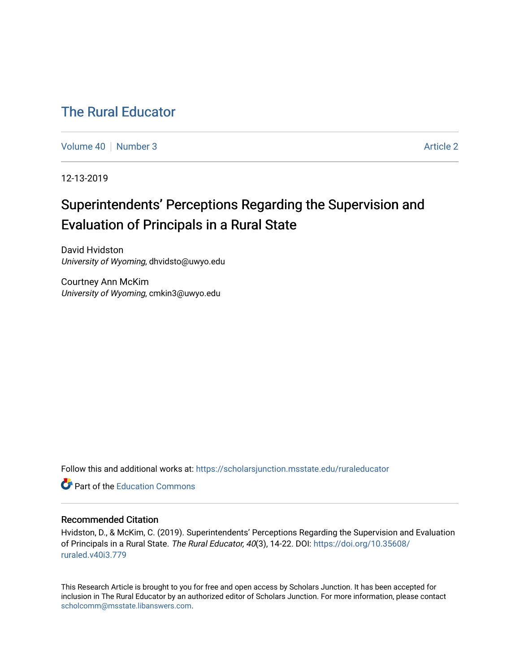# [The Rural Educator](https://scholarsjunction.msstate.edu/ruraleducator)

[Volume 40](https://scholarsjunction.msstate.edu/ruraleducator/vol40) [Number 3](https://scholarsjunction.msstate.edu/ruraleducator/vol40/iss3) Article 2

12-13-2019

# Superintendents' Perceptions Regarding the Supervision and Evaluation of Principals in a Rural State

David Hvidston University of Wyoming, dhvidsto@uwyo.edu

Courtney Ann McKim University of Wyoming, cmkin3@uwyo.edu

Follow this and additional works at: [https://scholarsjunction.msstate.edu/ruraleducator](https://scholarsjunction.msstate.edu/ruraleducator?utm_source=scholarsjunction.msstate.edu%2Fruraleducator%2Fvol40%2Fiss3%2F2&utm_medium=PDF&utm_campaign=PDFCoverPages)

**C** Part of the [Education Commons](http://network.bepress.com/hgg/discipline/784?utm_source=scholarsjunction.msstate.edu%2Fruraleducator%2Fvol40%2Fiss3%2F2&utm_medium=PDF&utm_campaign=PDFCoverPages)

# Recommended Citation

Hvidston, D., & McKim, C. (2019). Superintendents' Perceptions Regarding the Supervision and Evaluation of Principals in a Rural State. The Rural Educator, 40(3), 14-22. DOI: [https://doi.org/10.35608/](https://doi.org/10.35608/ruraled.v40i3.779) [ruraled.v40i3.779](https://doi.org/10.35608/ruraled.v40i3.779)

This Research Article is brought to you for free and open access by Scholars Junction. It has been accepted for inclusion in The Rural Educator by an authorized editor of Scholars Junction. For more information, please contact [scholcomm@msstate.libanswers.com.](mailto:scholcomm@msstate.libanswers.com)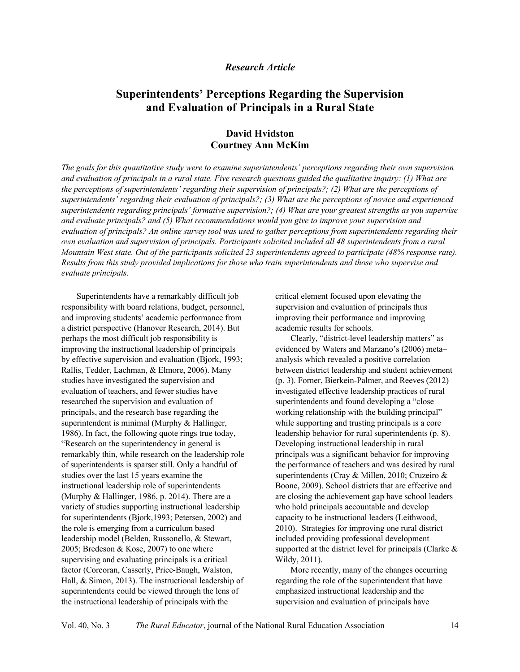# *Research Article*

# **Superintendents' Perceptions Regarding the Supervision and Evaluation of Principals in a Rural State**

# **David Hvidston Courtney Ann McKim**

*The goals for this quantitative study were to examine superintendents' perceptions regarding their own supervision and evaluation of principals in a rural state. Five research questions guided the qualitative inquiry: (1) What are the perceptions of superintendents' regarding their supervision of principals?; (2) What are the perceptions of superintendents' regarding their evaluation of principals?; (3) What are the perceptions of novice and experienced superintendents regarding principals' formative supervision?; (4) What are your greatest strengths as you supervise and evaluate principals? and (5) What recommendations would you give to improve your supervision and evaluation of principals? An online survey tool was used to gather perceptions from superintendents regarding their own evaluation and supervision of principals. Participants solicited included all 48 superintendents from a rural Mountain West state. Out of the participants solicited 23 superintendents agreed to participate (48% response rate). Results from this study provided implications for those who train superintendents and those who supervise and evaluate principals.*

Superintendents have a remarkably difficult job responsibility with board relations, budget, personnel, and improving students' academic performance from a district perspective (Hanover Research, 2014). But perhaps the most difficult job responsibility is improving the instructional leadership of principals by effective supervision and evaluation (Bjork, 1993; Rallis, Tedder, Lachman, & Elmore, 2006). Many studies have investigated the supervision and evaluation of teachers, and fewer studies have researched the supervision and evaluation of principals, and the research base regarding the superintendent is minimal (Murphy & Hallinger, 1986). In fact, the following quote rings true today, "Research on the superintendency in general is remarkably thin, while research on the leadership role of superintendents is sparser still. Only a handful of studies over the last 15 years examine the instructional leadership role of superintendents (Murphy & Hallinger, 1986, p. 2014). There are a variety of studies supporting instructional leadership for superintendents (Bjork,1993; Petersen, 2002) and the role is emerging from a curriculum based leadership model (Belden, Russonello, & Stewart, 2005; Bredeson & Kose, 2007) to one where supervising and evaluating principals is a critical factor (Corcoran, Casserly, Price-Baugh, Walston, Hall, & Simon, 2013). The instructional leadership of superintendents could be viewed through the lens of the instructional leadership of principals with the

critical element focused upon elevating the supervision and evaluation of principals thus improving their performance and improving academic results for schools.

Clearly, "district-level leadership matters" as evidenced by Waters and Marzano's (2006) meta– analysis which revealed a positive correlation between district leadership and student achievement (p. 3). Forner, Bierkein-Palmer, and Reeves (2012) investigated effective leadership practices of rural superintendents and found developing a "close working relationship with the building principal" while supporting and trusting principals is a core leadership behavior for rural superintendents (p. 8). Developing instructional leadership in rural principals was a significant behavior for improving the performance of teachers and was desired by rural superintendents (Cray & Millen, 2010; Cruzeiro & Boone, 2009). School districts that are effective and are closing the achievement gap have school leaders who hold principals accountable and develop capacity to be instructional leaders (Leithwood, 2010). Strategies for improving one rural district included providing professional development supported at the district level for principals (Clarke & Wildy, 2011).

More recently, many of the changes occurring regarding the role of the superintendent that have emphasized instructional leadership and the supervision and evaluation of principals have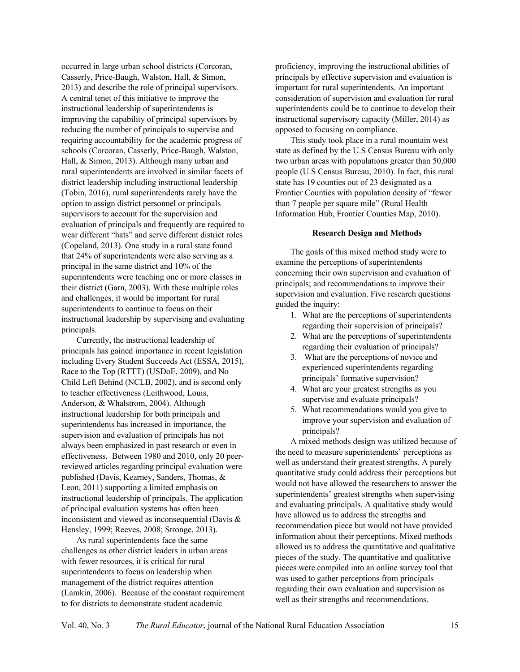occurred in large urban school districts (Corcoran, Casserly, Price-Baugh, Walston, Hall, & Simon, 2013) and describe the role of principal supervisors. A central tenet of this initiative to improve the instructional leadership of superintendents is improving the capability of principal supervisors by reducing the number of principals to supervise and requiring accountability for the academic progress of schools (Corcoran, Casserly, Price-Baugh, Walston, Hall, & Simon, 2013). Although many urban and rural superintendents are involved in similar facets of district leadership including instructional leadership (Tobin, 2016), rural superintendents rarely have the option to assign district personnel or principals supervisors to account for the supervision and evaluation of principals and frequently are required to wear different "hats" and serve different district roles (Copeland, 2013). One study in a rural state found that 24% of superintendents were also serving as a principal in the same district and 10% of the superintendents were teaching one or more classes in their district (Garn, 2003). With these multiple roles and challenges, it would be important for rural superintendents to continue to focus on their instructional leadership by supervising and evaluating principals.

Currently, the instructional leadership of principals has gained importance in recent legislation including Every Student Succeeds Act (ESSA, 2015), Race to the Top (RTTT) (USDoE, 2009), and No Child Left Behind (NCLB, 2002), and is second only to teacher effectiveness (Leithwood, Louis, Anderson, & Whalstrom, 2004). Although instructional leadership for both principals and superintendents has increased in importance, the supervision and evaluation of principals has not always been emphasized in past research or even in effectiveness. Between 1980 and 2010, only 20 peerreviewed articles regarding principal evaluation were published (Davis, Kearney, Sanders, Thomas, & Leon, 2011) supporting a limited emphasis on instructional leadership of principals. The application of principal evaluation systems has often been inconsistent and viewed as inconsequential (Davis & Hensley, 1999; Reeves, 2008; Stronge, 2013).

As rural superintendents face the same challenges as other district leaders in urban areas with fewer resources, it is critical for rural superintendents to focus on leadership when management of the district requires attention (Lamkin, 2006). Because of the constant requirement to for districts to demonstrate student academic

proficiency, improving the instructional abilities of principals by effective supervision and evaluation is important for rural superintendents. An important consideration of supervision and evaluation for rural superintendents could be to continue to develop their instructional supervisory capacity (Miller, 2014) as opposed to focusing on compliance.

This study took place in a rural mountain west state as defined by the U.S Census Bureau with only two urban areas with populations greater than 50,000 people (U.S Census Bureau, 2010). In fact, this rural state has 19 counties out of 23 designated as a Frontier Counties with population density of "fewer than 7 people per square mile" (Rural Health Information Hub, Frontier Counties Map, 2010).

## **Research Design and Methods**

The goals of this mixed method study were to examine the perceptions of superintendents concerning their own supervision and evaluation of principals; and recommendations to improve their supervision and evaluation. Five research questions guided the inquiry:

- 1. What are the perceptions of superintendents regarding their supervision of principals?
- 2. What are the perceptions of superintendents regarding their evaluation of principals?
- 3. What are the perceptions of novice and experienced superintendents regarding principals' formative supervision?
- 4. What are your greatest strengths as you supervise and evaluate principals?
- 5. What recommendations would you give to improve your supervision and evaluation of principals?

A mixed methods design was utilized because of the need to measure superintendents' perceptions as well as understand their greatest strengths. A purely quantitative study could address their perceptions but would not have allowed the researchers to answer the superintendents' greatest strengths when supervising and evaluating principals. A qualitative study would have allowed us to address the strengths and recommendation piece but would not have provided information about their perceptions. Mixed methods allowed us to address the quantitative and qualitative pieces of the study. The quantitative and qualitative pieces were compiled into an online survey tool that was used to gather perceptions from principals regarding their own evaluation and supervision as well as their strengths and recommendations.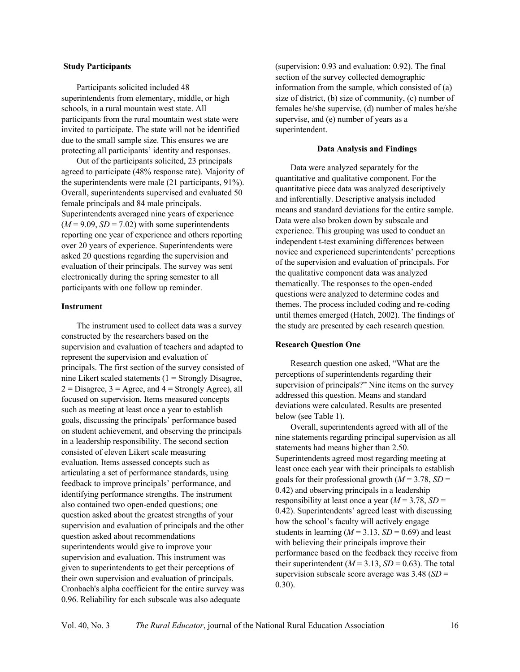#### **Study Participants**

Participants solicited included 48 superintendents from elementary, middle, or high schools, in a rural mountain west state. All participants from the rural mountain west state were invited to participate. The state will not be identified due to the small sample size. This ensures we are protecting all participants' identity and responses.

Out of the participants solicited, 23 principals agreed to participate (48% response rate). Majority of the superintendents were male (21 participants, 91%). Overall, superintendents supervised and evaluated 50 female principals and 84 male principals. Superintendents averaged nine years of experience  $(M = 9.09, SD = 7.02)$  with some superintendents reporting one year of experience and others reporting over 20 years of experience. Superintendents were asked 20 questions regarding the supervision and evaluation of their principals. The survey was sent electronically during the spring semester to all participants with one follow up reminder.

#### **Instrument**

The instrument used to collect data was a survey constructed by the researchers based on the supervision and evaluation of teachers and adapted to represent the supervision and evaluation of principals. The first section of the survey consisted of nine Likert scaled statements  $(1 =$  Strongly Disagree,  $2 = Disagree, 3 = Agree, and 4 = Strongly Agree, all$ focused on supervision. Items measured concepts such as meeting at least once a year to establish goals, discussing the principals' performance based on student achievement, and observing the principals in a leadership responsibility. The second section consisted of eleven Likert scale measuring evaluation. Items assessed concepts such as articulating a set of performance standards, using feedback to improve principals' performance, and identifying performance strengths. The instrument also contained two open-ended questions; one question asked about the greatest strengths of your supervision and evaluation of principals and the other question asked about recommendations superintendents would give to improve your supervision and evaluation. This instrument was given to superintendents to get their perceptions of their own supervision and evaluation of principals. Cronbach's alpha coefficient for the entire survey was 0.96. Reliability for each subscale was also adequate

(supervision: 0.93 and evaluation: 0.92). The final section of the survey collected demographic information from the sample, which consisted of (a) size of district, (b) size of community, (c) number of females he/she supervise, (d) number of males he/she supervise, and (e) number of years as a superintendent.

### **Data Analysis and Findings**

Data were analyzed separately for the quantitative and qualitative component. For the quantitative piece data was analyzed descriptively and inferentially. Descriptive analysis included means and standard deviations for the entire sample. Data were also broken down by subscale and experience. This grouping was used to conduct an independent t-test examining differences between novice and experienced superintendents' perceptions of the supervision and evaluation of principals. For the qualitative component data was analyzed thematically. The responses to the open-ended questions were analyzed to determine codes and themes. The process included coding and re-coding until themes emerged (Hatch, 2002). The findings of the study are presented by each research question.

#### **Research Question One**

Research question one asked, "What are the perceptions of superintendents regarding their supervision of principals?" Nine items on the survey addressed this question. Means and standard deviations were calculated. Results are presented below (see Table 1).

Overall, superintendents agreed with all of the nine statements regarding principal supervision as all statements had means higher than 2.50. Superintendents agreed most regarding meeting at least once each year with their principals to establish goals for their professional growth  $(M = 3.78, SD =$ 0.42) and observing principals in a leadership responsibility at least once a year  $(M = 3.78, SD =$ 0.42). Superintendents' agreed least with discussing how the school's faculty will actively engage students in learning  $(M = 3.13, SD = 0.69)$  and least with believing their principals improve their performance based on the feedback they receive from their superintendent ( $M = 3.13$ ,  $SD = 0.63$ ). The total supervision subscale score average was 3.48 (*SD* = 0.30).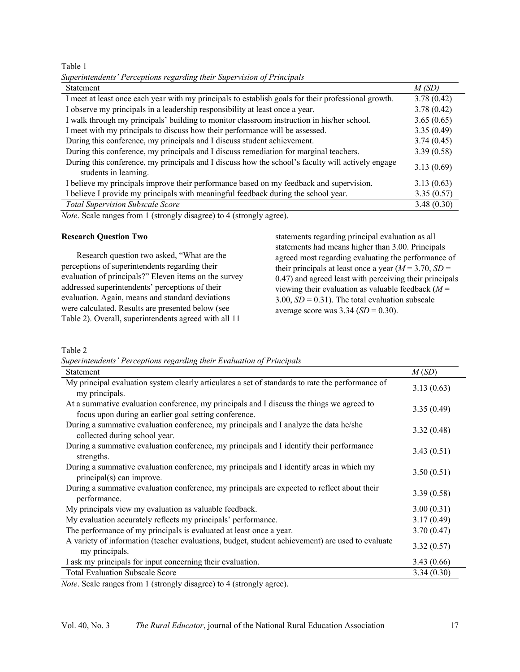Table 1

|  | Superintendents' Perceptions regarding their Supervision of Principals |  |  |  |  |  |
|--|------------------------------------------------------------------------|--|--|--|--|--|
|--|------------------------------------------------------------------------|--|--|--|--|--|

| <b>Statement</b>                                                                                                           | M(SD)      |
|----------------------------------------------------------------------------------------------------------------------------|------------|
| I meet at least once each year with my principals to establish goals for their professional growth.                        | 3.78(0.42) |
| I observe my principals in a leadership responsibility at least once a year.                                               | 3.78(0.42) |
| I walk through my principals' building to monitor classroom instruction in his/her school.                                 | 3.65(0.65) |
| I meet with my principals to discuss how their performance will be assessed.                                               | 3.35(0.49) |
| During this conference, my principals and I discuss student achievement.                                                   | 3.74(0.45) |
| During this conference, my principals and I discuss remediation for marginal teachers.                                     | 3.39(0.58) |
| During this conference, my principals and I discuss how the school's faculty will actively engage<br>students in learning. | 3.13(0.69) |
| I believe my principals improve their performance based on my feedback and supervision.                                    | 3.13(0.63) |
| I believe I provide my principals with meaningful feedback during the school year.                                         | 3.35(0.57) |
| <b>Total Supervision Subscale Score</b>                                                                                    | 3.48(0.30) |

*Note*. Scale ranges from 1 (strongly disagree) to 4 (strongly agree).

#### **Research Question Two**

Research question two asked, "What are the perceptions of superintendents regarding their evaluation of principals?" Eleven items on the survey addressed superintendents' perceptions of their evaluation. Again, means and standard deviations were calculated. Results are presented below (see Table 2). Overall, superintendents agreed with all 11

statements regarding principal evaluation as all statements had means higher than 3.00. Principals agreed most regarding evaluating the performance of their principals at least once a year  $(M = 3.70, SD =$ 0.47) and agreed least with perceiving their principals viewing their evaluation as valuable feedback (*M* = 3.00,  $SD = 0.31$ ). The total evaluation subscale average score was 3.34 (*SD* = 0.30).

# Table 2

*Superintendents' Perceptions regarding their Evaluation of Principals*

| Statement                                                                                                                                          | M(SD)      |
|----------------------------------------------------------------------------------------------------------------------------------------------------|------------|
| My principal evaluation system clearly articulates a set of standards to rate the performance of<br>my principals.                                 | 3.13(0.63) |
| At a summative evaluation conference, my principals and I discuss the things we agreed to<br>focus upon during an earlier goal setting conference. | 3.35(0.49) |
| During a summative evaluation conference, my principals and I analyze the data he/she<br>collected during school year.                             | 3.32(0.48) |
| During a summative evaluation conference, my principals and I identify their performance<br>strengths.                                             | 3.43(0.51) |
| During a summative evaluation conference, my principals and I identify areas in which my<br>principal(s) can improve.                              | 3.50(0.51) |
| During a summative evaluation conference, my principals are expected to reflect about their<br>performance.                                        | 3.39(0.58) |
| My principals view my evaluation as valuable feedback.                                                                                             | 3.00(0.31) |
| My evaluation accurately reflects my principals' performance.                                                                                      | 3.17(0.49) |
| The performance of my principals is evaluated at least once a year.                                                                                | 3.70(0.47) |
| A variety of information (teacher evaluations, budget, student achievement) are used to evaluate<br>my principals.                                 | 3.32(0.57) |
| I ask my principals for input concerning their evaluation.                                                                                         | 3.43(0.66) |
| <b>Total Evaluation Subscale Score</b>                                                                                                             | 3.34(0.30) |

*Note*. Scale ranges from 1 (strongly disagree) to 4 (strongly agree).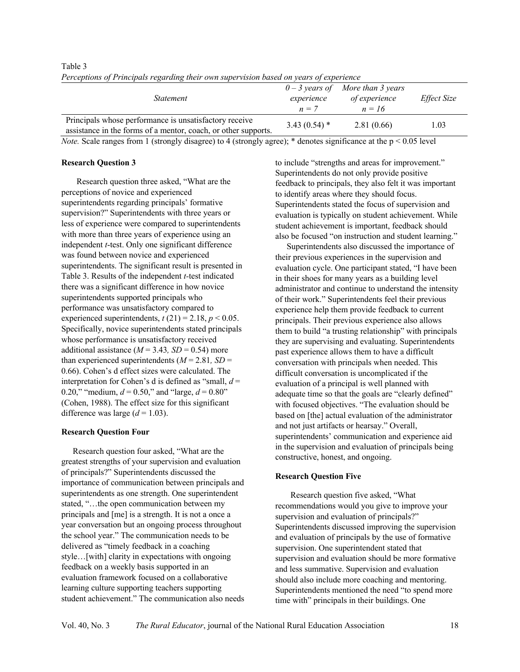| rerceptions of Frincipals regarding their own supervision based on years of experience                                   |                       |                                                                 |             |  |  |
|--------------------------------------------------------------------------------------------------------------------------|-----------------------|-----------------------------------------------------------------|-------------|--|--|
| <i>Statement</i>                                                                                                         | experience<br>$n = 7$ | $0 - 3$ years of More than 3 years<br>of experience<br>$n = 16$ | Effect Size |  |  |
| Principals whose performance is unsatisfactory receive<br>assistance in the forms of a mentor, coach, or other supports. | $3.43(0.54)$ *        | 2.81(0.66)                                                      | 1.03        |  |  |

Table 3 *Perceptions of Principals regarding their own supervision based on years of experience* 

*Note.* Scale ranges from 1 (strongly disagree) to 4 (strongly agree); \* denotes significance at the p < 0.05 level

## **Research Question 3**

Research question three asked, "What are the perceptions of novice and experienced superintendents regarding principals' formative supervision?" Superintendents with three years or less of experience were compared to superintendents with more than three years of experience using an independent *t*-test. Only one significant difference was found between novice and experienced superintendents. The significant result is presented in Table 3. Results of the independent *t-*test indicated there was a significant difference in how novice superintendents supported principals who performance was unsatisfactory compared to experienced superintendents,  $t(21) = 2.18$ ,  $p < 0.05$ . Specifically, novice superintendents stated principals whose performance is unsatisfactory received additional assistance  $(M = 3.43, SD = 0.54)$  more than experienced superintendents  $(M = 2.81, SD =$ 0.66). Cohen's d effect sizes were calculated. The interpretation for Cohen's d is defined as "small,  $d =$ 0.20," "medium,  $d = 0.50$ ," and "large,  $d = 0.80$ " (Cohen, 1988). The effect size for this significant difference was large  $(d = 1.03)$ .

# **Research Question Four**

Research question four asked, "What are the greatest strengths of your supervision and evaluation of principals?" Superintendents discussed the importance of communication between principals and superintendents as one strength. One superintendent stated, "…the open communication between my principals and [me] is a strength. It is not a once a year conversation but an ongoing process throughout the school year." The communication needs to be delivered as "timely feedback in a coaching style…[with] clarity in expectations with ongoing feedback on a weekly basis supported in an evaluation framework focused on a collaborative learning culture supporting teachers supporting student achievement." The communication also needs to include "strengths and areas for improvement." Superintendents do not only provide positive feedback to principals, they also felt it was important to identify areas where they should focus. Superintendents stated the focus of supervision and evaluation is typically on student achievement. While student achievement is important, feedback should also be focused "on instruction and student learning."

Superintendents also discussed the importance of their previous experiences in the supervision and evaluation cycle. One participant stated, "I have been in their shoes for many years as a building level administrator and continue to understand the intensity of their work." Superintendents feel their previous experience help them provide feedback to current principals. Their previous experience also allows them to build "a trusting relationship" with principals they are supervising and evaluating. Superintendents past experience allows them to have a difficult conversation with principals when needed. This difficult conversation is uncomplicated if the evaluation of a principal is well planned with adequate time so that the goals are "clearly defined" with focused objectives. "The evaluation should be based on [the] actual evaluation of the administrator and not just artifacts or hearsay." Overall, superintendents' communication and experience aid in the supervision and evaluation of principals being constructive, honest, and ongoing.

# **Research Question Five**

Research question five asked, "What recommendations would you give to improve your supervision and evaluation of principals?" Superintendents discussed improving the supervision and evaluation of principals by the use of formative supervision. One superintendent stated that supervision and evaluation should be more formative and less summative. Supervision and evaluation should also include more coaching and mentoring. Superintendents mentioned the need "to spend more time with" principals in their buildings. One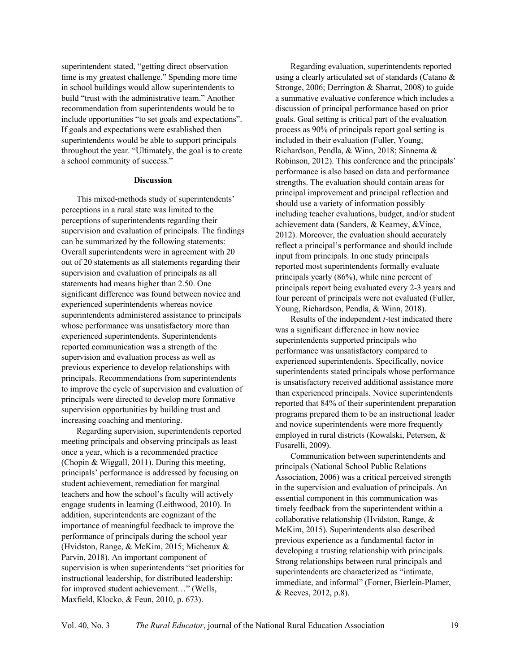superintendent stated, "getting direct observation time is my greatest challenge." Spending more time in school buildings would allow superintendents to build "trust with the administrative team." Another recommendation from superintendents would be to include opportunities "to set goals and expectations". If goals and expectations were established then superintendents would be able to support principals throughout the year. "Ultimately, the goal is to create a school community of success."

#### **Discussion**

This mixed-methods study of superintendents' perceptions in a rural state was limited to the perceptions of superintendents regarding their supervision and evaluation of principals. The findings can be summarized by the following statements: Overall superintendents were in agreement with 20 out of 20 statements as all statements regarding their supervision and evaluation of principals as all statements had means higher than 2.50. One significant difference was found between novice and experienced superintendents whereas novice superintendents administered assistance to principals whose performance was unsatisfactory more than experienced superintendents. Superintendents reported communication was a strength of the supervision and evaluation process as well as previous experience to develop relationships with principals. Recommendations from superintendents to improve the cycle of supervision and evaluation of principals were directed to develop more formative supervision opportunities by building trust and increasing coaching and mentoring.

Regarding supervision, superintendents reported meeting principals and observing principals as least once a year, which is a recommended practice (Chopin & Wiggall, 2011). During this meeting, principals' performance is addressed by focusing on student achievement, remediation for marginal teachers and how the school's faculty will actively engage students in learning (Leithwood, 2010). In addition, superintendents are cognizant of the importance of meaningful feedback to improve the performance of principals during the school year (Hvidston, Range, & McKim, 2015; Micheaux & Parvin, 2018). An important component of supervision is when superintendents "set priorities for instructional leadership, for distributed leadership: for improved student achievement…" (Wells, Maxfield, Klocko, & Feun, 2010, p. 673).

Regarding evaluation, superintendents reported using a clearly articulated set of standards (Catano & Stronge, 2006; Derrington & Sharrat, 2008) to guide a summative evaluative conference which includes a discussion of principal performance based on prior goals. Goal setting is critical part of the evaluation process as 90% of principals report goal setting is included in their evaluation (Fuller, Young, Richardson, Pendla, & Winn, 2018; Sinnema & Robinson, 2012). This conference and the principals' performance is also based on data and performance strengths. The evaluation should contain areas for principal improvement and principal reflection and should use a variety of information possibly including teacher evaluations, budget, and/or student achievement data (Sanders, & Kearney, &Vince, 2012). Moreover, the evaluation should accurately reflect a principal's performance and should include input from principals. In one study principals reported most superintendents formally evaluate principals yearly (86%), while nine percent of principals report being evaluated every 2-3 years and four percent of principals were not evaluated (Fuller, Young, Richardson, Pendla, & Winn, 2018).

Results of the independent *t-*test indicated there was a significant difference in how novice superintendents supported principals who performance was unsatisfactory compared to experienced superintendents. Specifically, novice superintendents stated principals whose performance is unsatisfactory received additional assistance more than experienced principals. Novice superintendents reported that 84% of their superintendent preparation programs prepared them to be an instructional leader and novice superintendents were more frequently employed in rural districts (Kowalski, Petersen, & Fusarelli, 2009).

Communication between superintendents and principals (National School Public Relations Association, 2006) was a critical perceived strength in the supervision and evaluation of principals. An essential component in this communication was timely feedback from the superintendent within a collaborative relationship (Hvidston, Range, & McKim, 2015). Superintendents also described previous experience as a fundamental factor in developing a trusting relationship with principals. Strong relationships between rural principals and superintendents are characterized as "intimate, immediate, and informal" (Forner, Bierlein-Plamer, & Reeves, 2012, p.8).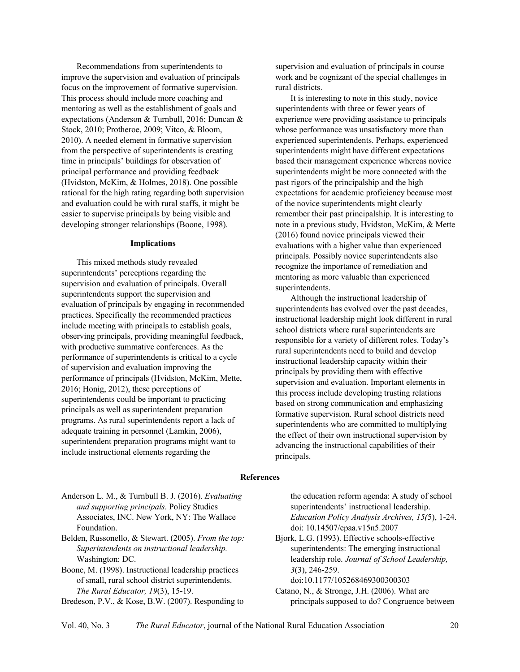Recommendations from superintendents to improve the supervision and evaluation of principals focus on the improvement of formative supervision. This process should include more coaching and mentoring as well as the establishment of goals and expectations (Anderson & Turnbull, 2016; Duncan & Stock, 2010; Protheroe, 2009; Vitco, & Bloom, 2010). A needed element in formative supervision from the perspective of superintendents is creating time in principals' buildings for observation of principal performance and providing feedback (Hvidston, McKim, & Holmes, 2018). One possible rational for the high rating regarding both supervision and evaluation could be with rural staffs, it might be easier to supervise principals by being visible and developing stronger relationships (Boone, 1998).

#### **Implications**

This mixed methods study revealed superintendents' perceptions regarding the supervision and evaluation of principals. Overall superintendents support the supervision and evaluation of principals by engaging in recommended practices. Specifically the recommended practices include meeting with principals to establish goals, observing principals, providing meaningful feedback, with productive summative conferences. As the performance of superintendents is critical to a cycle of supervision and evaluation improving the performance of principals (Hvidston, McKim, Mette, 2016; Honig, 2012), these perceptions of superintendents could be important to practicing principals as well as superintendent preparation programs. As rural superintendents report a lack of adequate training in personnel (Lamkin, 2006), superintendent preparation programs might want to include instructional elements regarding the

supervision and evaluation of principals in course work and be cognizant of the special challenges in rural districts.

It is interesting to note in this study, novice superintendents with three or fewer years of experience were providing assistance to principals whose performance was unsatisfactory more than experienced superintendents. Perhaps, experienced superintendents might have different expectations based their management experience whereas novice superintendents might be more connected with the past rigors of the principalship and the high expectations for academic proficiency because most of the novice superintendents might clearly remember their past principalship. It is interesting to note in a previous study, Hvidston, McKim, & Mette (2016) found novice principals viewed their evaluations with a higher value than experienced principals. Possibly novice superintendents also recognize the importance of remediation and mentoring as more valuable than experienced superintendents.

Although the instructional leadership of superintendents has evolved over the past decades, instructional leadership might look different in rural school districts where rural superintendents are responsible for a variety of different roles. Today's rural superintendents need to build and develop instructional leadership capacity within their principals by providing them with effective supervision and evaluation. Important elements in this process include developing trusting relations based on strong communication and emphasizing formative supervision. Rural school districts need superintendents who are committed to multiplying the effect of their own instructional supervision by advancing the instructional capabilities of their principals.

#### **References**

- Anderson L. M., & Turnbull B. J. (2016). *Evaluating and supporting principals*. Policy Studies Associates, INC. New York, NY: The Wallace Foundation.
- Belden, Russonello, & Stewart. (2005). *From the top: Superintendents on instructional leadership.*  Washington: DC.
- Boone, M. (1998). Instructional leadership practices of small, rural school district superintendents. *The Rural Educator, 19*(3), 15-19.

Bredeson, P.V., & Kose, B.W. (2007). Responding to

the education reform agenda: A study of school superintendents' instructional leadership. *Education Policy Analysis Archives, 15(*5), 1-24. doi: 10.14507/epaa.v15n5.2007

Bjork, L.G. (1993). Effective schools-effective superintendents: The emerging instructional leadership role. *Journal of School Leadership, 3*(3), 246-259.

doi:10.1177/105268469300300303

Catano, N., & Stronge, J.H. (2006). What are principals supposed to do? Congruence between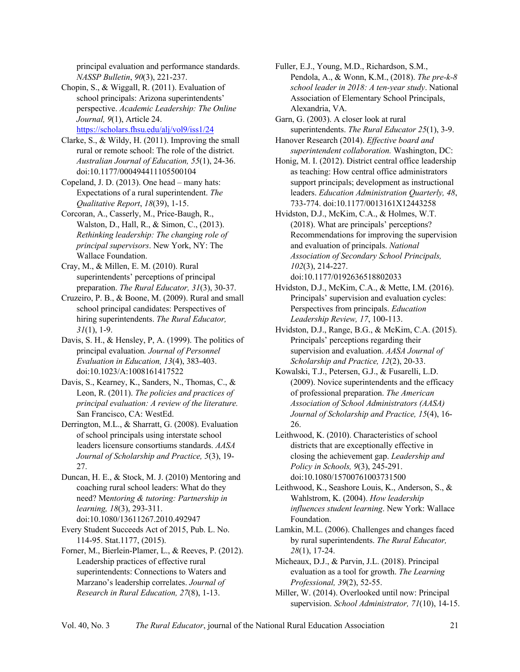principal evaluation and performance standards. *NASSP Bulletin*, *90*(3), 221-237.

Chopin, S., & Wiggall, R. (2011). Evaluation of school principals: Arizona superintendents' perspective. *Academic Leadership: The Online Journal, 9*(1), Article 24. https://scholars.fhsu.edu/alj/vol9/iss1/24

Clarke, S., & Wildy, H. (2011). Improving the small rural or remote school: The role of the district. *Australian Journal of Education, 55*(1), 24-36. doi:10.1177/000494411105500104

Copeland, J. D. (2013). One head – many hats: Expectations of a rural superintendent. *The Qualitative Report*, *18*(39), 1-15.

Corcoran, A., Casserly, M., Price-Baugh, R., Walston, D., Hall, R., & Simon, C., (2013). *Rethinking leadership: The changing role of principal supervisors*. New York, NY: The Wallace Foundation.

Cray, M., & Millen, E. M. (2010). Rural superintendents' perceptions of principal preparation. *The Rural Educator, 31*(3), 30-37.

Cruzeiro, P. B., & Boone, M. (2009). Rural and small school principal candidates: Perspectives of hiring superintendents. *The Rural Educator, 31*(1), 1-9.

Davis, S. H., & Hensley, P, A. (1999). The politics of principal evaluation*. Journal of Personnel Evaluation in Education, 13*(4), 383-403. doi:10.1023/A:1008161417522

Davis, S., Kearney, K., Sanders, N., Thomas, C., & Leon, R. (2011). *The policies and practices of principal evaluation: A review of the literature.*  San Francisco, CA: WestEd.

Derrington, M.L., & Sharratt, G. (2008). Evaluation of school principals using interstate school leaders licensure consortiums standards. *AASA Journal of Scholarship and Practice, 5*(3), 19- 27.

Duncan, H. E., & Stock, M. J. (2010) Mentoring and coaching rural school leaders: What do they need? Me*ntoring & tutoring: Partnership in learning, 18*(3), 293-311. doi:10.1080/13611267.2010.492947

Every Student Succeeds Act of 2015, Pub. L. No. 114-95. Stat.1177, (2015).

Forner, M., Bierlein-Plamer, L., & Reeves, P. (2012). Leadership practices of effective rural superintendents: Connections to Waters and Marzano's leadership correlates. *Journal of Research in Rural Education, 27*(8), 1-13.

Fuller, E.J., Young, M.D., Richardson, S.M., Pendola, A., & Wonn, K.M., (2018). *The pre-k-8 school leader in 2018: A ten-year study*. National Association of Elementary School Principals, Alexandria, VA.

Garn, G. (2003). A closer look at rural superintendents. *The Rural Educator 25*(1), 3-9.

Hanover Research (2014). *Effective board and superintendent collaboration.* Washington, DC:

Honig, M. I. (2012). District central office leadership as teaching: How central office administrators support principals; development as instructional leaders. *Education Administration Quarterly, 48*, 733-774. doi:10.1177/0013161X12443258

Hvidston, D.J., McKim, C.A., & Holmes, W.T. (2018). What are principals' perceptions? Recommendations for improving the supervision and evaluation of principals. *National Association of Secondary School Principals, 102*(3), 214-227. doi:10.1177/0192636518802033

Hvidston, D.J., McKim, C.A., & Mette, I.M. (2016). Principals' supervision and evaluation cycles: Perspectives from principals. *Education Leadership Review, 17*, 100-113.

Hvidston, D.J., Range, B.G., & McKim, C.A. (2015). Principals' perceptions regarding their supervision and evaluation. *AASA Journal of Scholarship and Practice, 12*(2), 20-33.

Kowalski, T.J., Petersen, G.J., & Fusarelli, L.D. (2009). Novice superintendents and the efficacy of professional preparation. *The American Association of School Administrators (AASA) Journal of Scholarship and Practice, 15*(4), 16- 26.

Leithwood, K. (2010). Characteristics of school districts that are exceptionally effective in closing the achievement gap. *Leadership and Policy in Schools, 9*(3), 245-291. doi:10.1080/15700761003731500

Leithwood, K., Seashore Louis, K., Anderson, S., & Wahlstrom, K. (2004). *How leadership influences student learning*. New York: Wallace Foundation.

Lamkin, M.L. (2006). Challenges and changes faced by rural superintendents. *The Rural Educator, 28*(1), 17-24.

Micheaux, D.J., & Parvin, J.L. (2018). Principal evaluation as a tool for growth. *The Learning Professional, 39*(2), 52-55.

Miller, W. (2014). Overlooked until now: Principal supervision. *School Administrator, 71*(10), 14-15.